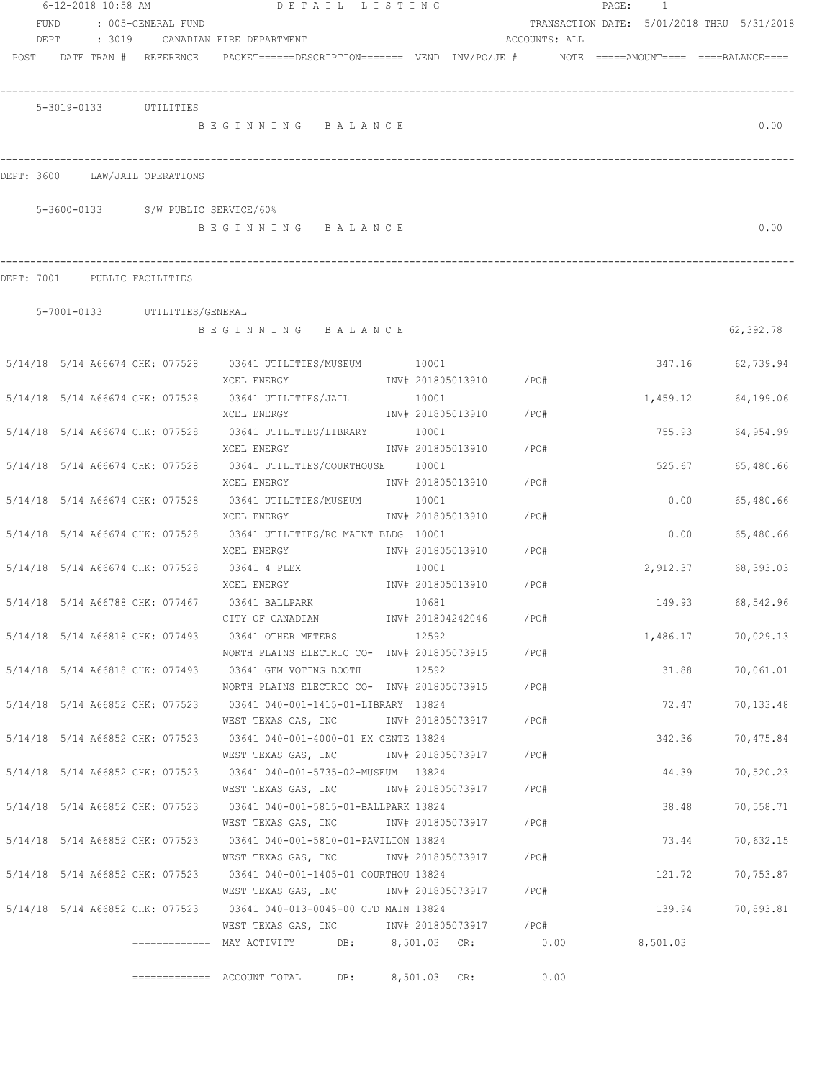|            |  | 6-12-2018 10:58 AM                 | DETAIL LISTING                                                                                    |                   |                        |               | PAGE: | 1        |                                            |
|------------|--|------------------------------------|---------------------------------------------------------------------------------------------------|-------------------|------------------------|---------------|-------|----------|--------------------------------------------|
| FUND       |  | : 005-GENERAL FUND                 |                                                                                                   |                   |                        |               |       |          | TRANSACTION DATE: 5/01/2018 THRU 5/31/2018 |
| DEPT       |  |                                    | : 3019 CANADIAN FIRE DEPARTMENT                                                                   |                   |                        | ACCOUNTS: ALL |       |          |                                            |
|            |  | POST DATE TRAN # REFERENCE         | PACKET======DESCRIPTION========  VEND  INV/PO/JE #         NOTE  =====AMOUNT====  ====BALANCE==== |                   |                        |               |       |          |                                            |
|            |  |                                    |                                                                                                   |                   |                        |               |       |          |                                            |
|            |  |                                    |                                                                                                   |                   |                        |               |       |          |                                            |
|            |  | 5-3019-0133 UTILITIES              |                                                                                                   |                   |                        |               |       |          |                                            |
|            |  |                                    | BEGINNING BALANCE                                                                                 |                   |                        |               |       |          | 0.00                                       |
|            |  |                                    |                                                                                                   |                   |                        |               |       |          |                                            |
|            |  |                                    |                                                                                                   |                   |                        |               |       |          |                                            |
| DEPT: 3600 |  | LAW/JAIL OPERATIONS                |                                                                                                   |                   |                        |               |       |          |                                            |
|            |  |                                    |                                                                                                   |                   |                        |               |       |          |                                            |
|            |  | 5-3600-0133 S/W PUBLIC SERVICE/60% |                                                                                                   |                   |                        |               |       |          |                                            |
|            |  |                                    | BEGINNING BALANCE                                                                                 |                   |                        |               |       |          | 0.00                                       |
|            |  |                                    |                                                                                                   |                   |                        |               |       |          |                                            |
|            |  |                                    |                                                                                                   |                   |                        |               |       |          |                                            |
| DEPT: 7001 |  | PUBLIC FACILITIES                  |                                                                                                   |                   |                        |               |       |          |                                            |
|            |  |                                    |                                                                                                   |                   |                        |               |       |          |                                            |
|            |  | 5-7001-0133 UTILITIES/GENERAL      |                                                                                                   |                   |                        |               |       |          |                                            |
|            |  |                                    | BEGINNING BALANCE                                                                                 |                   |                        |               |       |          | 62,392.78                                  |
|            |  |                                    |                                                                                                   |                   |                        |               |       |          |                                            |
|            |  |                                    | 5/14/18  5/14  A66674  CHK: 077528  03641  UTILITIES/MUSEUM   10001                               |                   |                        |               |       |          | 347.16 62,739.94                           |
|            |  |                                    | XCEL ENERGY                                                                                       |                   | INV# 201805013910 /PO# |               |       |          |                                            |
|            |  | 5/14/18 5/14 A66674 CHK: 077528    | 03641 UTILITIES/JAIL                                                                              | 10001             |                        |               |       | 1,459.12 | 64,199.06                                  |
|            |  |                                    | XCEL ENERGY                                                                                       | INV# 201805013910 |                        | /PO#          |       |          |                                            |
|            |  | 5/14/18 5/14 A66674 CHK: 077528    | 03641 UTILITIES/LIBRARY 10001                                                                     |                   |                        |               |       | 755.93   | 64,954.99                                  |
|            |  |                                    | XCEL ENERGY                                                                                       | INV# 201805013910 |                        | /PO#          |       |          |                                            |
|            |  | 5/14/18 5/14 A66674 CHK: 077528    | 03641 UTILITIES/COURTHOUSE                                                                        | 10001             |                        |               |       | 525.67   | 65,480.66                                  |
|            |  |                                    | XCEL ENERGY                                                                                       | INV# 201805013910 |                        | /PO#          |       |          |                                            |
|            |  | 5/14/18 5/14 A66674 CHK: 077528    | 03641 UTILITIES/MUSEUM                                                                            | 10001             |                        |               |       | 0.00     | 65,480.66                                  |
|            |  |                                    | XCEL ENERGY                                                                                       | INV# 201805013910 |                        | /PO#          |       |          |                                            |
|            |  | 5/14/18 5/14 A66674 CHK: 077528    | 03641 UTILITIES/RC MAINT BLDG 10001                                                               |                   |                        |               |       | 0.00     | 65,480.66                                  |
|            |  |                                    | XCEL ENERGY                                                                                       | INV# 201805013910 |                        | /PO#          |       |          |                                            |
|            |  | 5/14/18 5/14 A66674 CHK: 077528    | 03641 4 PLEX                                                                                      | 10001             |                        |               |       | 2,912.37 | 68,393.03                                  |
|            |  |                                    | XCEL ENERGY                                                                                       | INV# 201805013910 |                        | /PO#          |       |          |                                            |
|            |  | 5/14/18 5/14 A66788 CHK: 077467    | 03641 BALLPARK                                                                                    | 10681             |                        |               |       | 149.93   | 68,542.96                                  |
|            |  |                                    | CITY OF CANADIAN                                                                                  | INV# 201804242046 |                        | /PO#          |       |          |                                            |
|            |  |                                    | 5/14/18 5/14 A66818 CHK: 077493 03641 OTHER METERS                                                | 12592             |                        |               |       | 1,486.17 | 70,029.13                                  |
|            |  |                                    | NORTH PLAINS ELECTRIC CO- INV# 201805073915                                                       |                   |                        | / PO#         |       |          |                                            |
|            |  |                                    | 5/14/18 5/14 A66818 CHK: 077493 03641 GEM VOTING BOOTH                                            | 12592             |                        |               |       | 31.88    | 70,061.01                                  |
|            |  |                                    | NORTH PLAINS ELECTRIC CO- INV# 201805073915                                                       |                   |                        | /PO#          |       |          |                                            |
|            |  |                                    | 5/14/18 5/14 A66852 CHK: 077523 03641 040-001-1415-01-LIBRARY 13824                               |                   |                        |               |       | 72.47    | 70,133.48                                  |
|            |  |                                    | WEST TEXAS GAS, INC                                                                               | INV# 201805073917 |                        | /PO#          |       |          |                                            |
|            |  | 5/14/18 5/14 A66852 CHK: 077523    | 03641 040-001-4000-01 EX CENTE 13824                                                              |                   |                        |               |       | 342.36   | 70,475.84                                  |
|            |  |                                    | WEST TEXAS GAS, INC                                                                               | INV# 201805073917 |                        | / PO#         |       |          |                                            |
|            |  | 5/14/18 5/14 A66852 CHK: 077523    | 03641  040-001-5735-02-MUSEUM  13824                                                              |                   |                        |               |       | 44.39    | 70,520.23                                  |
|            |  |                                    | WEST TEXAS GAS, INC                                                                               | INV# 201805073917 |                        | /PO#          |       |          |                                            |
|            |  | 5/14/18 5/14 A66852 CHK: 077523    | 03641 040-001-5815-01-BALLPARK 13824                                                              |                   |                        |               |       | 38.48    | 70,558.71                                  |
|            |  |                                    | WEST TEXAS GAS, INC                                                                               | INV# 201805073917 |                        | /PO#          |       |          |                                            |
|            |  | 5/14/18 5/14 A66852 CHK: 077523    | 03641 040-001-5810-01-PAVILION 13824                                                              |                   |                        |               |       | 73.44    | 70,632.15                                  |
|            |  |                                    | WEST TEXAS GAS, INC METALLY 101805073917                                                          |                   |                        | /PO#          |       |          |                                            |
|            |  | 5/14/18 5/14 A66852 CHK: 077523    | 03641 040-001-1405-01 COURTHOU 13824                                                              |                   |                        |               |       | 121.72   | 70,753.87                                  |
|            |  |                                    | WEST TEXAS GAS, INC MONTH 201805073917                                                            |                   |                        | /PO#          |       |          |                                            |
|            |  |                                    | 5/14/18 5/14 A66852 CHK: 077523 03641 040-013-0045-00 CFD MAIN 13824                              |                   |                        |               |       | 139.94   | 70,893.81                                  |
|            |  |                                    | WEST TEXAS GAS, INC MOV# 201805073917 / PO#                                                       |                   |                        |               |       |          |                                            |
|            |  |                                    |                                                                                                   |                   |                        |               |       | 8,501.03 |                                            |
|            |  |                                    |                                                                                                   |                   |                        |               |       |          |                                            |
|            |  |                                    | DB:                                                                                               | 8,501.03 CR:      |                        | 0.00          |       |          |                                            |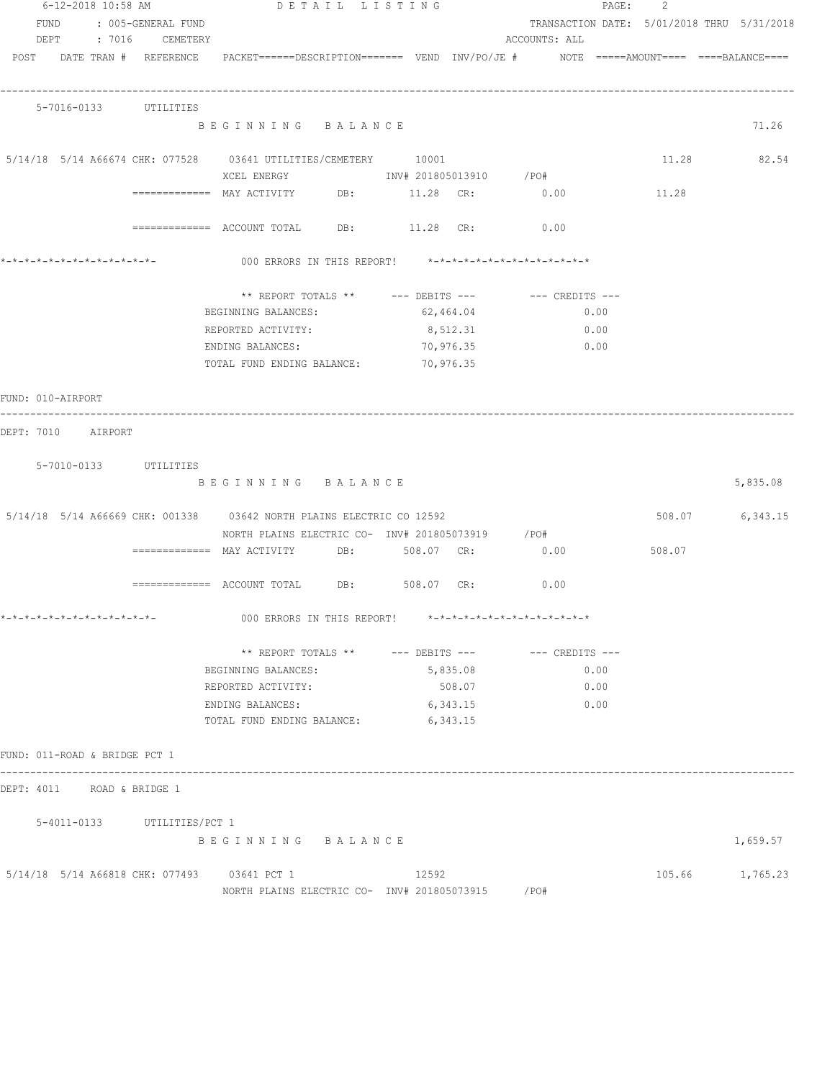| 6-12-2018 10:58 AM            | DETAIL LISTING                                                                                                            |                        |           | PAGE: 2       |        |                                            |
|-------------------------------|---------------------------------------------------------------------------------------------------------------------------|------------------------|-----------|---------------|--------|--------------------------------------------|
| FUND : 005-GENERAL FUND       |                                                                                                                           |                        |           |               |        | TRANSACTION DATE: 5/01/2018 THRU 5/31/2018 |
| DEPT : 7016 CEMETERY          |                                                                                                                           |                        |           | ACCOUNTS: ALL |        |                                            |
|                               | POST DATE TRAN # REFERENCE PACKET======DESCRIPTION======= VEND INV/PO/JE # NOTE =====AMOUNT==== ====BALANCE====           |                        |           |               |        |                                            |
| 5-7016-0133 UTILITIES         |                                                                                                                           |                        |           |               |        |                                            |
|                               | BEGINNING BALANCE                                                                                                         |                        |           |               |        | 71.26                                      |
|                               | 5/14/18 5/14 A66674 CHK: 077528 03641 UTILITIES/CEMETERY 10001<br>XCEL ENERGY 67 1NV# 201805013910 / PO#                  |                        |           |               |        | 11.28 82.54                                |
|                               | ============ MAY ACTIVITY DB: 11.28 CR: 0.00                                                                              |                        |           |               | 11.28  |                                            |
|                               | ============ ACCOUNT TOTAL DB: 11.28 CR: 0.00                                                                             |                        |           |               |        |                                            |
|                               | 000 ERRORS IN THIS REPORT! *-*-*-*-*-*-*-*-*-*-*-*-*-*-                                                                   |                        |           |               |        |                                            |
|                               | ** REPORT TOTALS ** --- DEBITS --- -- -- CREDITS ---                                                                      |                        |           |               |        |                                            |
|                               | BEGINNING BALANCES:                                                                                                       |                        | 62,464.04 | 0.00          |        |                                            |
|                               | REPORTED ACTIVITY:                                                                                                        |                        | 8,512.31  | 0.00          |        |                                            |
|                               | ENDING BALANCES:<br>TOTAL FUND ENDING BALANCE:                                                                            | 70,976.35<br>70,976.35 |           | 0.00          |        |                                            |
| FUND: 010-AIRPORT             |                                                                                                                           |                        |           |               |        |                                            |
| DEPT: 7010 AIRPORT            |                                                                                                                           |                        |           |               |        |                                            |
| 5-7010-0133 UTILITIES         |                                                                                                                           |                        |           |               |        |                                            |
|                               | BEGINNING BALANCE                                                                                                         |                        |           |               |        | 5,835.08                                   |
|                               | 5/14/18 5/14 A66669 CHK: 001338 03642 NORTH PLAINS ELECTRIC CO 12592<br>NORTH PLAINS ELECTRIC CO- INV# 201805073919 / PO# |                        |           |               |        | 508.07 6,343.15                            |
|                               |                                                                                                                           |                        |           | 0.00          | 508.07 |                                            |
|                               | $\overline{\phantom{1}}$ ============= ACCOUNT TOTAL DB: 508.07 CR:                                                       |                        |           | 0.00          |        |                                            |
| *-*-*-*-*-*-*-*-*-*-*-*-*-*-  | 000 ERRORS IN THIS REPORT! *-*-*-*-*-*-*-*-*-*-*-*-*-*-                                                                   |                        |           |               |        |                                            |
|                               | ** REPORT TOTALS ** --- DEBITS --- -- CREDITS ---                                                                         |                        |           |               |        |                                            |
|                               | BEGINNING BALANCES:                                                                                                       |                        | 5,835.08  | 0.00          |        |                                            |
|                               | REPORTED ACTIVITY:                                                                                                        |                        | 508.07    | 0.00          |        |                                            |
|                               | ENDING BALANCES:                                                                                                          |                        | 6,343.15  | 0.00          |        |                                            |
|                               | TOTAL FUND ENDING BALANCE:                                                                                                | 6,343.15               |           |               |        |                                            |
| FUND: 011-ROAD & BRIDGE PCT 1 |                                                                                                                           |                        |           |               |        |                                            |
| DEPT: 4011 ROAD & BRIDGE 1    |                                                                                                                           |                        |           |               |        |                                            |
| 5-4011-0133 UTILITIES/PCT 1   |                                                                                                                           |                        |           |               |        |                                            |
|                               | BEGINNING BALANCE                                                                                                         |                        |           |               |        | 1,659.57                                   |
|                               | 5/14/18 5/14 A66818 CHK: 077493 03641 PCT 1                                                                               | 12592                  |           |               |        | 105.66 1,765.23                            |
|                               | NORTH PLAINS ELECTRIC CO- $1\text{NV#}$ 201805073915 /PO#                                                                 |                        |           |               |        |                                            |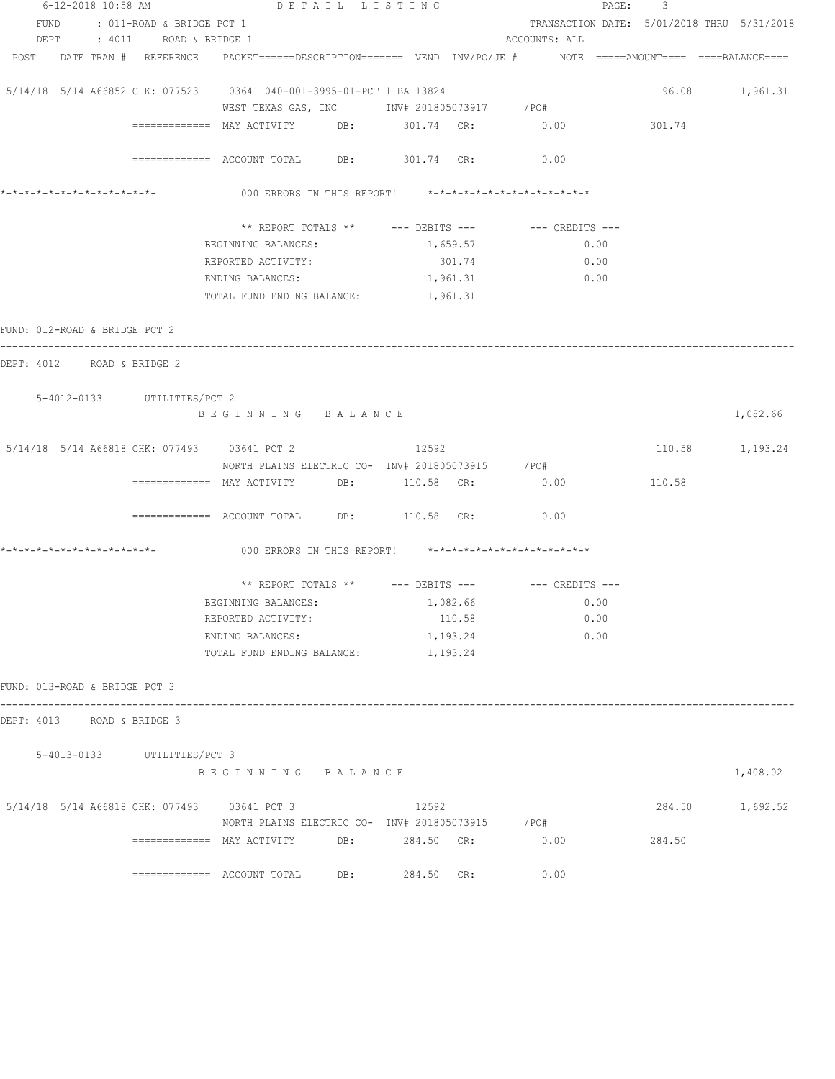|                                                                                                                | 6-12-2018 10:58 AM DETAIL LISTING                                                                                                                                                                                                                                                                                                                                                                                                                                                                                                                                       |                | PAGE:                                      | $3 -$           |          |
|----------------------------------------------------------------------------------------------------------------|-------------------------------------------------------------------------------------------------------------------------------------------------------------------------------------------------------------------------------------------------------------------------------------------------------------------------------------------------------------------------------------------------------------------------------------------------------------------------------------------------------------------------------------------------------------------------|----------------|--------------------------------------------|-----------------|----------|
| FUND : 011-ROAD & BRIDGE PCT 1                                                                                 |                                                                                                                                                                                                                                                                                                                                                                                                                                                                                                                                                                         |                | TRANSACTION DATE: 5/01/2018 THRU 5/31/2018 |                 |          |
| DEPT : 4011 ROAD & BRIDGE 1                                                                                    |                                                                                                                                                                                                                                                                                                                                                                                                                                                                                                                                                                         |                | ACCOUNTS: ALL                              |                 |          |
| POST DATE TRAN # REFERENCE PACKET=====DESCRIPTION======= VEND INV/PO/JE # NOTE =====AMOUNT==== ====BALANCE==== |                                                                                                                                                                                                                                                                                                                                                                                                                                                                                                                                                                         |                |                                            |                 |          |
| 5/14/18 5/14 A66852 CHK: 077523 03641 040-001-3995-01-PCT 1 BA 13824                                           |                                                                                                                                                                                                                                                                                                                                                                                                                                                                                                                                                                         |                |                                            | 196.08 1,961.31 |          |
|                                                                                                                | WEST TEXAS GAS, INC        INV# 201805073917     /PO#                                                                                                                                                                                                                                                                                                                                                                                                                                                                                                                   |                |                                            |                 |          |
|                                                                                                                | ============ MAY ACTIVITY DB: 301.74 CR: 0.00                                                                                                                                                                                                                                                                                                                                                                                                                                                                                                                           |                |                                            | 301.74          |          |
|                                                                                                                |                                                                                                                                                                                                                                                                                                                                                                                                                                                                                                                                                                         |                |                                            |                 |          |
|                                                                                                                | ============ ACCOUNT TOTAL DB: 301.74 CR: 0.00                                                                                                                                                                                                                                                                                                                                                                                                                                                                                                                          |                |                                            |                 |          |
| *_*_*_*_*_*_*_*_*_*_*_*_*_*_*_                                                                                 | 000 ERRORS IN THIS REPORT! *-*-*-*-*-*-*-*-*-*-*-*-*-*-                                                                                                                                                                                                                                                                                                                                                                                                                                                                                                                 |                |                                            |                 |          |
|                                                                                                                |                                                                                                                                                                                                                                                                                                                                                                                                                                                                                                                                                                         |                |                                            |                 |          |
|                                                                                                                | ** REPORT TOTALS ** --- DEBITS --- -- CREDITS ---<br>BEGINNING BALANCES:                                                                                                                                                                                                                                                                                                                                                                                                                                                                                                | 1,659.57       | 0.00                                       |                 |          |
|                                                                                                                | REPORTED ACTIVITY:                                                                                                                                                                                                                                                                                                                                                                                                                                                                                                                                                      | 301.74         | 0.00                                       |                 |          |
|                                                                                                                | ENDING BALANCES:                                                                                                                                                                                                                                                                                                                                                                                                                                                                                                                                                        | 1,961.31       | 0.00                                       |                 |          |
|                                                                                                                | TOTAL FUND ENDING BALANCE:                                                                                                                                                                                                                                                                                                                                                                                                                                                                                                                                              | 1,961.31       |                                            |                 |          |
|                                                                                                                |                                                                                                                                                                                                                                                                                                                                                                                                                                                                                                                                                                         |                |                                            |                 |          |
| FUND: 012-ROAD & BRIDGE PCT 2                                                                                  |                                                                                                                                                                                                                                                                                                                                                                                                                                                                                                                                                                         |                |                                            |                 |          |
| DEPT: 4012 ROAD & BRIDGE 2                                                                                     |                                                                                                                                                                                                                                                                                                                                                                                                                                                                                                                                                                         |                |                                            |                 |          |
| 5-4012-0133 UTILITIES/PCT 2                                                                                    |                                                                                                                                                                                                                                                                                                                                                                                                                                                                                                                                                                         |                |                                            |                 |          |
|                                                                                                                | BEGINNING BALANCE                                                                                                                                                                                                                                                                                                                                                                                                                                                                                                                                                       |                |                                            |                 | 1,082.66 |
|                                                                                                                |                                                                                                                                                                                                                                                                                                                                                                                                                                                                                                                                                                         |                |                                            |                 |          |
| 5/14/18 5/14 A66818 CHK: 077493 03641 PCT 2 12592                                                              |                                                                                                                                                                                                                                                                                                                                                                                                                                                                                                                                                                         |                |                                            | 110.58 1,193.24 |          |
|                                                                                                                | NORTH PLAINS ELECTRIC CO- INV# 201805073915 / PO#                                                                                                                                                                                                                                                                                                                                                                                                                                                                                                                       |                |                                            |                 |          |
|                                                                                                                | ============= MAY ACTIVITY DB: 110.58 CR:                                                                                                                                                                                                                                                                                                                                                                                                                                                                                                                               |                | 0.00                                       | 110.58          |          |
|                                                                                                                |                                                                                                                                                                                                                                                                                                                                                                                                                                                                                                                                                                         |                |                                            |                 |          |
|                                                                                                                | ${\small \texttt{-----}}{\small \texttt{-----}}{\small \texttt{---}}{\small \texttt{---}}{\small \texttt{---}}{\small \texttt{1---}}{\small \texttt{1---}}{\small \texttt{1---}}{\small \texttt{1---}}{\small \texttt{1---}}{\small \texttt{1---}}{\small \texttt{1---}}{\small \texttt{1---}}{\small \texttt{1---}}{\small \texttt{1---}}{\small \texttt{1---}}{\small \texttt{1---}}{\small \texttt{1---}}{\small \texttt{1---}}{\small \texttt{1---}}{\small \texttt{1---}}{\small \texttt{1---}}{\small \texttt{1---}}{\small \texttt{1---}}{\small \texttt{1---}}$ |                |                                            |                 |          |
| *_*_*_*_*_*_*_*_*_*_*_*_*_*_*_                                                                                 | 000 ERRORS IN THIS REPORT! *-*-*-*-*-*-*-*-*-*-*-*-*-*-                                                                                                                                                                                                                                                                                                                                                                                                                                                                                                                 |                |                                            |                 |          |
|                                                                                                                | ** REPORT TOTALS ** --- DEBITS --- -- -- CREDITS ---                                                                                                                                                                                                                                                                                                                                                                                                                                                                                                                    |                |                                            |                 |          |
|                                                                                                                | BEGINNING BALANCES: 1,082.66                                                                                                                                                                                                                                                                                                                                                                                                                                                                                                                                            |                | 0.00                                       |                 |          |
|                                                                                                                | REPORTED ACTIVITY:                                                                                                                                                                                                                                                                                                                                                                                                                                                                                                                                                      | 110.58         | 0.00                                       |                 |          |
|                                                                                                                | ENDING BALANCES:                                                                                                                                                                                                                                                                                                                                                                                                                                                                                                                                                        | 1,193.24       | 0.00                                       |                 |          |
|                                                                                                                | TOTAL FUND ENDING BALANCE:                                                                                                                                                                                                                                                                                                                                                                                                                                                                                                                                              | 1,193.24       |                                            |                 |          |
| FUND: 013-ROAD & BRIDGE PCT 3                                                                                  |                                                                                                                                                                                                                                                                                                                                                                                                                                                                                                                                                                         |                |                                            |                 |          |
| DEPT: 4013 ROAD & BRIDGE 3                                                                                     |                                                                                                                                                                                                                                                                                                                                                                                                                                                                                                                                                                         |                |                                            |                 |          |
|                                                                                                                |                                                                                                                                                                                                                                                                                                                                                                                                                                                                                                                                                                         |                |                                            |                 |          |
| 5-4013-0133 UTILITIES/PCT 3                                                                                    |                                                                                                                                                                                                                                                                                                                                                                                                                                                                                                                                                                         |                |                                            |                 |          |
|                                                                                                                | BEGINNING BALANCE                                                                                                                                                                                                                                                                                                                                                                                                                                                                                                                                                       |                |                                            |                 | 1,408.02 |
| 5/14/18 5/14 A66818 CHK: 077493 03641 PCT 3                                                                    |                                                                                                                                                                                                                                                                                                                                                                                                                                                                                                                                                                         | 12592          |                                            | 284.50 1,692.52 |          |
|                                                                                                                | NORTH PLAINS ELECTRIC CO- INV# 201805073915 / PO#                                                                                                                                                                                                                                                                                                                                                                                                                                                                                                                       |                |                                            |                 |          |
|                                                                                                                | ============= MAY ACTIVITY                                                                                                                                                                                                                                                                                                                                                                                                                                                                                                                                              | DB: 284.50 CR: | 0.00                                       | 284.50          |          |
|                                                                                                                |                                                                                                                                                                                                                                                                                                                                                                                                                                                                                                                                                                         |                |                                            |                 |          |
|                                                                                                                | DB:                                                                                                                                                                                                                                                                                                                                                                                                                                                                                                                                                                     | 284.50 CR:     | 0.00                                       |                 |          |